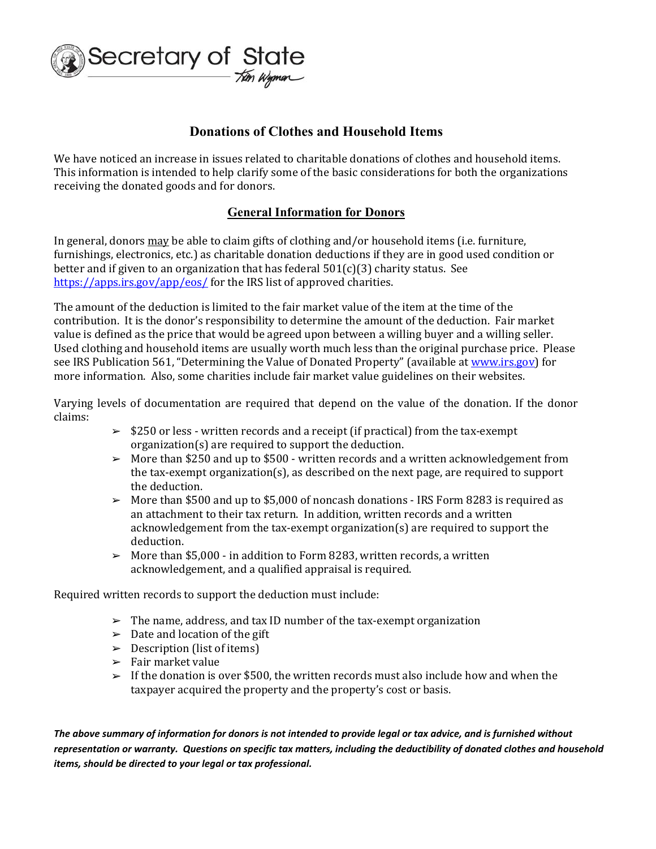

## **Donations of Clothes and Household Items**

We have noticed an increase in issues related to charitable donations of clothes and household items. This information is intended to help clarify some of the basic considerations for both the organizations receiving the donated goods and for donors.

## **General Information for Donors**

In general, donors may be able to claim gifts of clothing and/or household items (i.e. furniture, furnishings, electronics, etc.) as charitable donation deductions if they are in good used condition or better and if given to an organization that has federal  $501(c)(3)$  charity status. See https://apps.irs.gov/app/eos/ for the IRS list of approved charities.

The amount of the deduction is limited to the fair market value of the item at the time of the contribution. It is the donor's responsibility to determine the amount of the deduction. Fair market value is defined as the price that would be agreed upon between a willing buyer and a willing seller. Used clothing and household items are usually worth much less than the original purchase price. Please see IRS Publication 561, "Determining the Value of Donated Property" (available at www.irs.gov) for more information. Also, some charities include fair market value guidelines on their websites.

Varying levels of documentation are required that depend on the value of the donation. If the donor claims: 

- $\geq$  \$250 or less written records and a receipt (if practical) from the tax-exempt organization(s) are required to support the deduction.
- $\geq$  More than \$250 and up to \$500 written records and a written acknowledgement from the tax-exempt organization(s), as described on the next page, are required to support the deduction.
- $\geq$  More than \$500 and up to \$5,000 of noncash donations IRS Form 8283 is required as an attachment to their tax return. In addition, written records and a written acknowledgement from the tax-exempt organization(s) are required to support the deduction.
- $\geq$  More than \$5,000 in addition to Form 8283, written records, a written acknowledgement, and a qualified appraisal is required.

Required written records to support the deduction must include:

- $\geq$  The name, address, and tax ID number of the tax-exempt organization
- $\triangleright$  Date and location of the gift
- $\geq$  Description (list of items)
- $\blacktriangleright$  Fair market value
- $\geq$  If the donation is over \$500, the written records must also include how and when the taxpayer acquired the property and the property's cost or basis.

*The above summary of information for donors is not intended to provide legal or tax advice, and is furnished without representation or warranty. Questions on specific tax matters, including the deductibility of donated clothes and household items, should be directed to your legal or tax professional.*